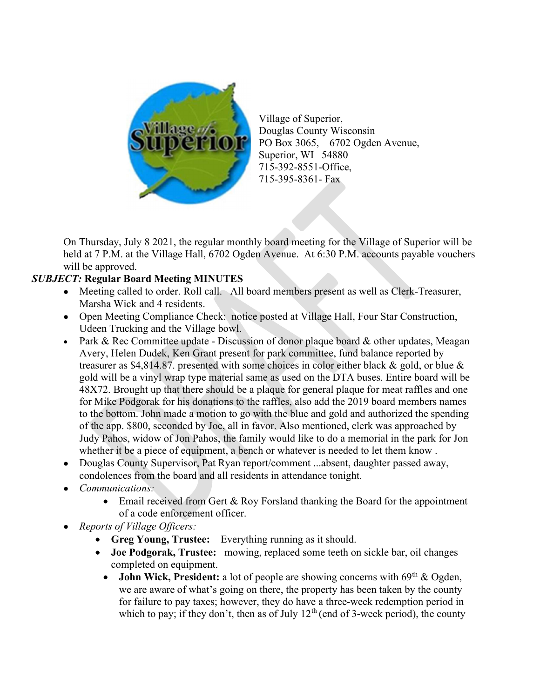

Village of Superior, Douglas County Wisconsin PO Box 3065, 6702 Ogden Avenue, Superior, WI 54880 715-392-8551-Office, 715-395-8361- Fax

On Thursday, July 8 2021, the regular monthly board meeting for the Village of Superior will be held at 7 P.M. at the Village Hall, 6702 Ogden Avenue. At 6:30 P.M. accounts payable vouchers will be approved.

## SUBJECT: Regular Board Meeting MINUTES

- Meeting called to order. Roll call. All board members present as well as Clerk-Treasurer, Marsha Wick and 4 residents.
- Open Meeting Compliance Check: notice posted at Village Hall, Four Star Construction, Udeen Trucking and the Village bowl.
- Park & Rec Committee update Discussion of donor plaque board & other updates, Meagan Avery, Helen Dudek, Ken Grant present for park committee, fund balance reported by treasurer as \$4,814.87. presented with some choices in color either black & gold, or blue & gold will be a vinyl wrap type material same as used on the DTA buses. Entire board will be 48X72. Brought up that there should be a plaque for general plaque for meat raffles and one for Mike Podgorak for his donations to the raffles, also add the 2019 board members names to the bottom. John made a motion to go with the blue and gold and authorized the spending of the app. \$800, seconded by Joe, all in favor. Also mentioned, clerk was approached by Judy Pahos, widow of Jon Pahos, the family would like to do a memorial in the park for Jon whether it be a piece of equipment, a bench or whatever is needed to let them know .
- Douglas County Supervisor, Pat Ryan report/comment ...absent, daughter passed away, condolences from the board and all residents in attendance tonight.
- Communications:
	- Email received from Gert & Roy Forsland thanking the Board for the appointment of a code enforcement officer.
- Reports of Village Officers:
	- Greg Young, Trustee: Everything running as it should.
	- Joe Podgorak, Trustee: mowing, replaced some teeth on sickle bar, oil changes completed on equipment.
		- John Wick, President: a lot of people are showing concerns with  $69<sup>th</sup>$  & Ogden, we are aware of what's going on there, the property has been taken by the county for failure to pay taxes; however, they do have a three-week redemption period in which to pay; if they don't, then as of July  $12<sup>th</sup>$  (end of 3-week period), the county